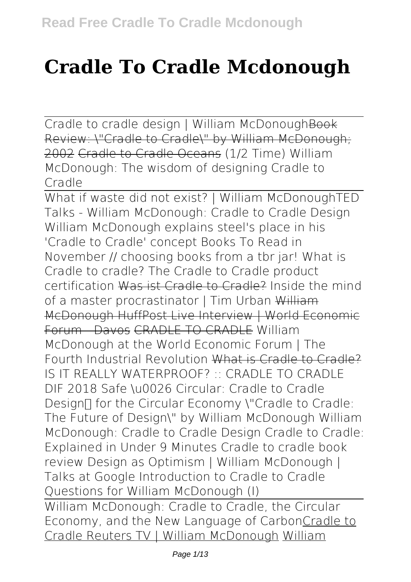## **Cradle To Cradle Mcdonough**

Cradle to cradle design | William McDonough Book Review: \"Cradle to Cradle\" by William McDonough; 2002 Cradle to Cradle Oceans *(1/2 Time) William McDonough: The wisdom of designing Cradle to Cradle*

What if waste did not exist? | William McDonough*TED Talks - William McDonough: Cradle to Cradle Design* William McDonough explains steel's place in his 'Cradle to Cradle' concept Books To Read in November // choosing books from a tbr jar! **What is Cradle to cradle? The Cradle to Cradle product certification** Was ist Cradle to Cradle? **Inside the mind of a master procrastinator | Tim Urban** William McDonough HuffPost Live Interview | World Economic Forum Davos CRADLE TO CRADLE William McDonough at the World Economic Forum | The Fourth Industrial Revolution What is Cradle to Cradle? *IS IT REALLY WATERPROOF? :: CRADLE TO CRADLE DIF 2018 Safe \u0026 Circular: Cradle to Cradle Design™ for the Circular Economy \"Cradle to Cradle: The Future of Design\" by William McDonough William McDonough: Cradle to Cradle Design* **Cradle to Cradle: Explained in Under 9 Minutes Cradle to cradle book review** Design as Optimism | William McDonough | Talks at Google *Introduction to Cradle to Cradle Questions for William McDonough (I)* William McDonough: Cradle to Cradle, the Circular Economy, and the New Language of CarbonCradle to

Cradle Reuters TV | William McDonough William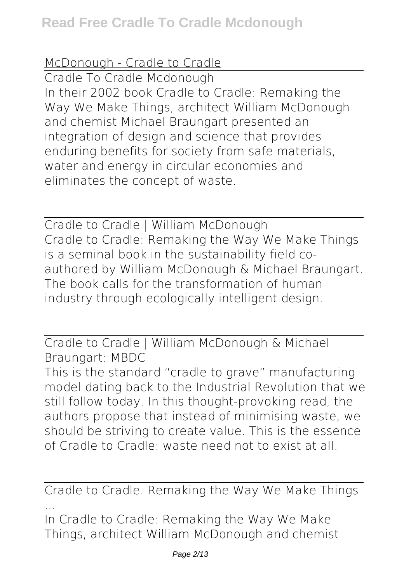## McDonough - Cradle to Cradle

Cradle To Cradle Mcdonough In their 2002 book Cradle to Cradle: Remaking the Way We Make Things, architect William McDonough and chemist Michael Braungart presented an integration of design and science that provides enduring benefits for society from safe materials, water and energy in circular economies and eliminates the concept of waste.

Cradle to Cradle | William McDonough Cradle to Cradle: Remaking the Way We Make Things is a seminal book in the sustainability field coauthored by William McDonough & Michael Braungart. The book calls for the transformation of human industry through ecologically intelligent design.

Cradle to Cradle | William McDonough & Michael Braungart: MBDC This is the standard "cradle to grave" manufacturing model dating back to the Industrial Revolution that we still follow today. In this thought-provoking read, the authors propose that instead of minimising waste, we should be striving to create value. This is the essence of Cradle to Cradle: waste need not to exist at all.

Cradle to Cradle. Remaking the Way We Make Things ...

In Cradle to Cradle: Remaking the Way We Make Things, architect William McDonough and chemist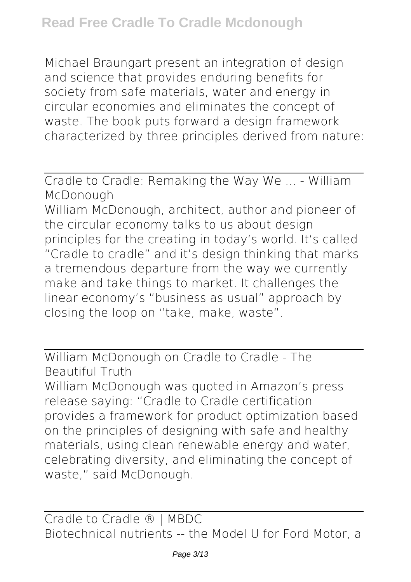Michael Braungart present an integration of design and science that provides enduring benefits for society from safe materials, water and energy in circular economies and eliminates the concept of waste. The book puts forward a design framework characterized by three principles derived from nature:

Cradle to Cradle: Remaking the Way We ... - William McDonough

William McDonough, architect, author and pioneer of the circular economy talks to us about design principles for the creating in today's world. It's called "Cradle to cradle" and it's design thinking that marks a tremendous departure from the way we currently make and take things to market. It challenges the linear economy's "business as usual" approach by closing the loop on "take, make, waste".

William McDonough on Cradle to Cradle - The Beautiful Truth

William McDonough was quoted in Amazon's press release saying: "Cradle to Cradle certification provides a framework for product optimization based on the principles of designing with safe and healthy materials, using clean renewable energy and water, celebrating diversity, and eliminating the concept of waste," said McDonough.

Cradle to Cradle ® | MBDC Biotechnical nutrients -- the Model U for Ford Motor, a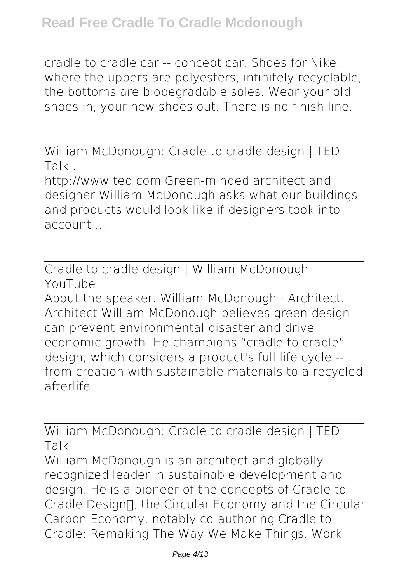cradle to cradle car -- concept car. Shoes for Nike, where the uppers are polyesters, infinitely recyclable, the bottoms are biodegradable soles. Wear your old shoes in, your new shoes out. There is no finish line.

William McDonough: Cradle to cradle design | TED Talk ...

http://www.ted.com Green-minded architect and designer William McDonough asks what our buildings and products would look like if designers took into account

Cradle to cradle design | William McDonough - YouTube

About the speaker. William McDonough · Architect. Architect William McDonough believes green design can prevent environmental disaster and drive economic growth. He champions "cradle to cradle" design, which considers a product's full life cycle - from creation with sustainable materials to a recycled afterlife.

William McDonough: Cradle to cradle design | TED Talk

William McDonough is an architect and globally recognized leader in sustainable development and design. He is a pioneer of the concepts of Cradle to Cradle Design∏, the Circular Economy and the Circular Carbon Economy, notably co-authoring Cradle to Cradle: Remaking The Way We Make Things. Work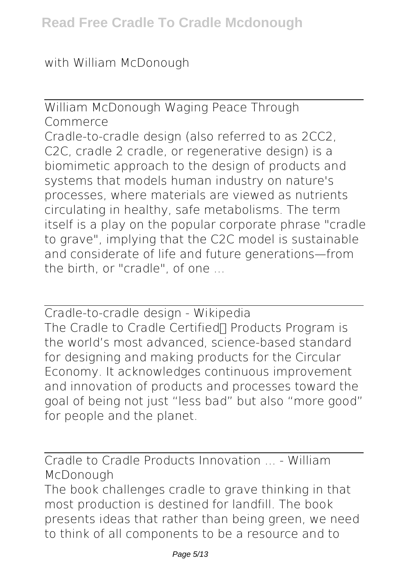with William McDonough

William McDonough Waging Peace Through Commerce Cradle-to-cradle design (also referred to as 2CC2, C2C, cradle 2 cradle, or regenerative design) is a biomimetic approach to the design of products and systems that models human industry on nature's processes, where materials are viewed as nutrients circulating in healthy, safe metabolisms. The term itself is a play on the popular corporate phrase "cradle to grave", implying that the C2C model is sustainable and considerate of life and future generations—from the birth, or "cradle", of one ...

Cradle-to-cradle design - Wikipedia The Cradle to Cradle Certified∏ Products Program is the world's most advanced, science-based standard for designing and making products for the Circular Economy. It acknowledges continuous improvement and innovation of products and processes toward the goal of being not just "less bad" but also "more good" for people and the planet.

Cradle to Cradle Products Innovation ... - William McDonough

The book challenges cradle to grave thinking in that most production is destined for landfill. The book presents ideas that rather than being green, we need to think of all components to be a resource and to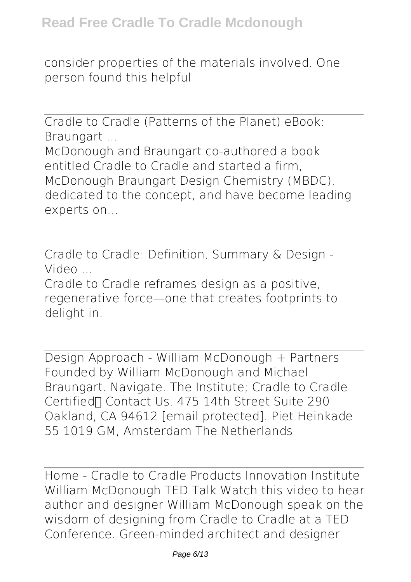consider properties of the materials involved. One person found this helpful

Cradle to Cradle (Patterns of the Planet) eBook: Braungart ...

McDonough and Braungart co-authored a book entitled Cradle to Cradle and started a firm, McDonough Braungart Design Chemistry (MBDC), dedicated to the concept, and have become leading experts on...

Cradle to Cradle: Definition, Summary & Design - Video ...

Cradle to Cradle reframes design as a positive, regenerative force—one that creates footprints to delight in.

Design Approach - William McDonough + Partners Founded by William McDonough and Michael Braungart. Navigate. The Institute; Cradle to Cradle Certified∏ Contact Us. 475 14th Street Suite 290 Oakland, CA 94612 [email protected]. Piet Heinkade 55 1019 GM, Amsterdam The Netherlands

Home - Cradle to Cradle Products Innovation Institute William McDonough TED Talk Watch this video to hear author and designer William McDonough speak on the wisdom of designing from Cradle to Cradle at a TED Conference. Green-minded architect and designer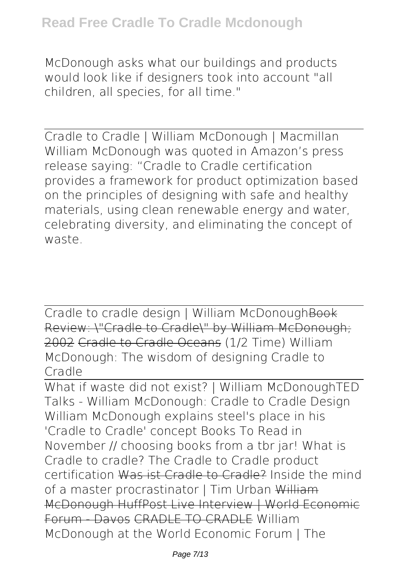McDonough asks what our buildings and products would look like if designers took into account "all children, all species, for all time."

Cradle to Cradle | William McDonough | Macmillan William McDonough was quoted in Amazon's press release saying: "Cradle to Cradle certification provides a framework for product optimization based on the principles of designing with safe and healthy materials, using clean renewable energy and water, celebrating diversity, and eliminating the concept of waste.

Cradle to cradle design | William McDonoughBook Review: \"Cradle to Cradle\" by William McDonough; 2002 Cradle to Cradle Oceans *(1/2 Time) William McDonough: The wisdom of designing Cradle to Cradle*

What if waste did not exist? | William McDonough*TED Talks - William McDonough: Cradle to Cradle Design* William McDonough explains steel's place in his 'Cradle to Cradle' concept Books To Read in November // choosing books from a tbr jar! **What is Cradle to cradle? The Cradle to Cradle product certification** Was ist Cradle to Cradle? **Inside the mind of a master procrastinator | Tim Urban** William McDonough HuffPost Live Interview | World Economic Forum - Davos CRADLE TO CRADLE William McDonough at the World Economic Forum | The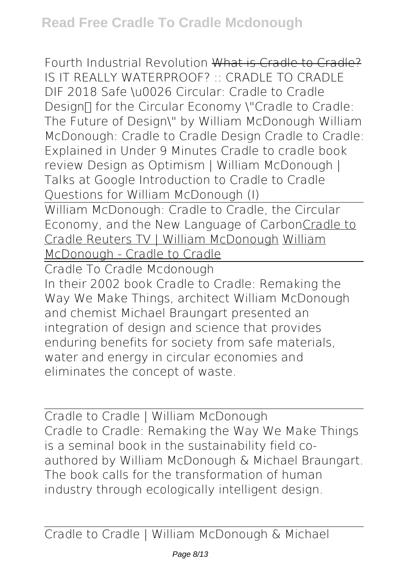Fourth Industrial Revolution What is Cradle to Cradle? *IS IT REALLY WATERPROOF? :: CRADLE TO CRADLE DIF 2018 Safe \u0026 Circular: Cradle to Cradle Design™ for the Circular Economy \"Cradle to Cradle: The Future of Design\" by William McDonough William McDonough: Cradle to Cradle Design* **Cradle to Cradle: Explained in Under 9 Minutes Cradle to cradle book review** Design as Optimism | William McDonough | Talks at Google *Introduction to Cradle to Cradle Questions for William McDonough (I)* William McDonough: Cradle to Cradle, the Circular Economy, and the New Language of CarbonCradle to

Cradle Reuters TV | William McDonough William

McDonough - Cradle to Cradle

Cradle To Cradle Mcdonough In their 2002 book Cradle to Cradle: Remaking the Way We Make Things, architect William McDonough and chemist Michael Braungart presented an integration of design and science that provides enduring benefits for society from safe materials, water and energy in circular economies and eliminates the concept of waste.

Cradle to Cradle | William McDonough Cradle to Cradle: Remaking the Way We Make Things is a seminal book in the sustainability field coauthored by William McDonough & Michael Braungart. The book calls for the transformation of human industry through ecologically intelligent design.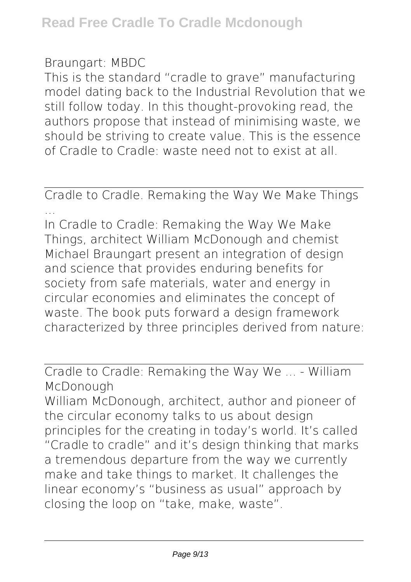## Braungart: MBDC

This is the standard "cradle to grave" manufacturing model dating back to the Industrial Revolution that we still follow today. In this thought-provoking read, the authors propose that instead of minimising waste, we should be striving to create value. This is the essence of Cradle to Cradle: waste need not to exist at all.

Cradle to Cradle. Remaking the Way We Make Things ...

In Cradle to Cradle: Remaking the Way We Make Things, architect William McDonough and chemist Michael Braungart present an integration of design and science that provides enduring benefits for society from safe materials, water and energy in circular economies and eliminates the concept of waste. The book puts forward a design framework characterized by three principles derived from nature:

Cradle to Cradle: Remaking the Way We ... - William McDonough

William McDonough, architect, author and pioneer of the circular economy talks to us about design principles for the creating in today's world. It's called "Cradle to cradle" and it's design thinking that marks a tremendous departure from the way we currently make and take things to market. It challenges the linear economy's "business as usual" approach by closing the loop on "take, make, waste".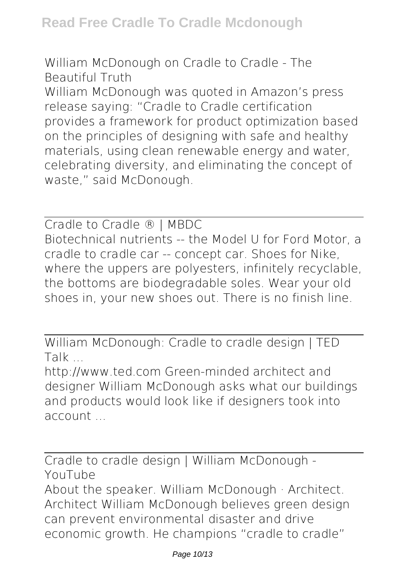William McDonough on Cradle to Cradle - The Beautiful Truth

William McDonough was quoted in Amazon's press release saying: "Cradle to Cradle certification provides a framework for product optimization based on the principles of designing with safe and healthy materials, using clean renewable energy and water, celebrating diversity, and eliminating the concept of waste," said McDonough.

Cradle to Cradle ® | MBDC Biotechnical nutrients -- the Model U for Ford Motor, a cradle to cradle car -- concept car. Shoes for Nike, where the uppers are polyesters, infinitely recyclable, the bottoms are biodegradable soles. Wear your old shoes in, your new shoes out. There is no finish line.

William McDonough: Cradle to cradle design | TED Talk ...

http://www.ted.com Green-minded architect and designer William McDonough asks what our buildings and products would look like if designers took into account

Cradle to cradle design | William McDonough - YouTube About the speaker. William McDonough · Architect. Architect William McDonough believes green design can prevent environmental disaster and drive economic growth. He champions "cradle to cradle"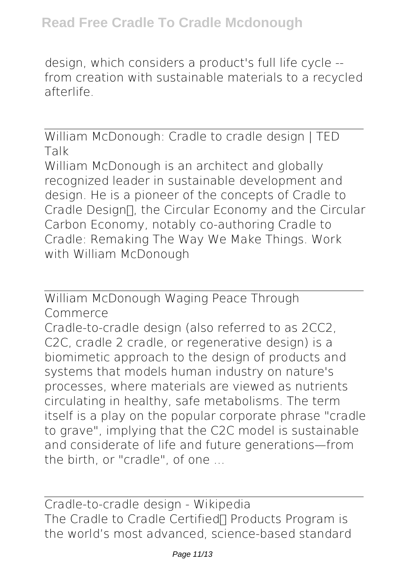design, which considers a product's full life cycle - from creation with sustainable materials to a recycled afterlife.

William McDonough: Cradle to cradle design | TED Talk William McDonough is an architect and globally recognized leader in sustainable development and design. He is a pioneer of the concepts of Cradle to Cradle Design∏, the Circular Economy and the Circular Carbon Economy, notably co-authoring Cradle to Cradle: Remaking The Way We Make Things. Work with William McDonough

William McDonough Waging Peace Through Commerce Cradle-to-cradle design (also referred to as 2CC2, C2C, cradle 2 cradle, or regenerative design) is a biomimetic approach to the design of products and systems that models human industry on nature's processes, where materials are viewed as nutrients circulating in healthy, safe metabolisms. The term itself is a play on the popular corporate phrase "cradle to grave", implying that the C2C model is sustainable and considerate of life and future generations—from the birth, or "cradle", of one ...

Cradle-to-cradle design - Wikipedia The Cradle to Cradle Certified∏ Products Program is the world's most advanced, science-based standard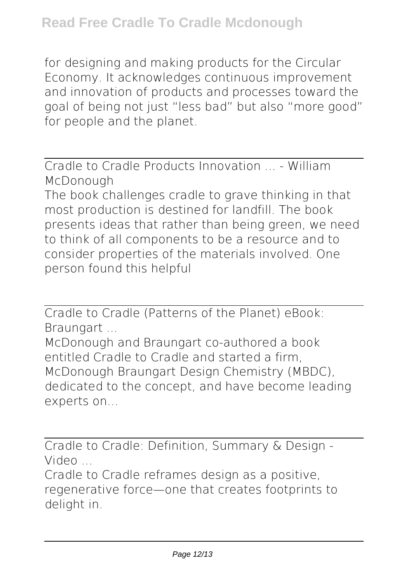for designing and making products for the Circular Economy. It acknowledges continuous improvement and innovation of products and processes toward the goal of being not just "less bad" but also "more good" for people and the planet.

Cradle to Cradle Products Innovation - William McDonough

The book challenges cradle to grave thinking in that most production is destined for landfill. The book presents ideas that rather than being green, we need to think of all components to be a resource and to consider properties of the materials involved. One person found this helpful

Cradle to Cradle (Patterns of the Planet) eBook: Braungart ...

McDonough and Braungart co-authored a book entitled Cradle to Cradle and started a firm, McDonough Braungart Design Chemistry (MBDC), dedicated to the concept, and have become leading experts on...

Cradle to Cradle: Definition, Summary & Design - Video ...

Cradle to Cradle reframes design as a positive, regenerative force—one that creates footprints to delight in.